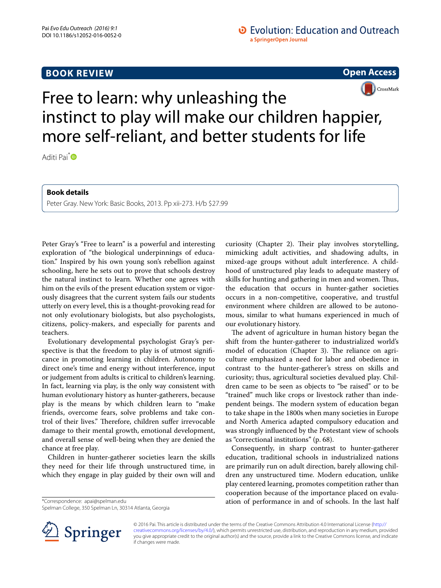## **BOOK REVIEW**

**Open Access**



## Free to learn: why unleashing the instinct to play will make our children happier, more self-reliant, and better students for life

Aditi Pai<sup>[\\*](http://orcid.org/0000-0002-6276-6963)</sup>

**Book details**

Peter Gray. New York: Basic Books, 2013. Pp xii-273. H/b \$27.99

Peter Gray's "Free to learn" is a powerful and interesting exploration of "the biological underpinnings of education." Inspired by his own young son's rebellion against schooling, here he sets out to prove that schools destroy the natural instinct to learn. Whether one agrees with him on the evils of the present education system or vigorously disagrees that the current system fails our students utterly on every level, this is a thought-provoking read for not only evolutionary biologists, but also psychologists, citizens, policy-makers, and especially for parents and teachers.

Evolutionary developmental psychologist Gray's perspective is that the freedom to play is of utmost significance in promoting learning in children. Autonomy to direct one's time and energy without interference, input or judgement from adults is critical to children's learning. In fact, learning via play, is the only way consistent with human evolutionary history as hunter-gatherers, because play is the means by which children learn to "make friends, overcome fears, solve problems and take control of their lives." Therefore, children suffer irrevocable damage to their mental growth, emotional development, and overall sense of well-being when they are denied the chance at free play.

Children in hunter-gatherer societies learn the skills they need for their life through unstructured time, in which they engage in play guided by their own will and

\*Correspondence: apai@spelman.edu

Spelman College, 350 Spelman Ln, 30314 Atlanta, Georgia

curiosity (Chapter 2). Their play involves storytelling, mimicking adult activities, and shadowing adults, in mixed-age groups without adult interference. A childhood of unstructured play leads to adequate mastery of skills for hunting and gathering in men and women. Thus, the education that occurs in hunter-gather societies occurs in a non-competitive, cooperative, and trustful environment where children are allowed to be autonomous, similar to what humans experienced in much of our evolutionary history.

The advent of agriculture in human history began the shift from the hunter-gatherer to industrialized world's model of education (Chapter 3). The reliance on agriculture emphasized a need for labor and obedience in contrast to the hunter-gatherer's stress on skills and curiosity; thus, agricultural societies devalued play. Children came to be seen as objects to "be raised" or to be "trained" much like crops or livestock rather than independent beings. The modern system of education began to take shape in the 1800s when many societies in Europe and North America adapted compulsory education and was strongly influenced by the Protestant view of schools as "correctional institutions" (p. 68).

Consequently, in sharp contrast to hunter-gatherer education, traditional schools in industrialized nations are primarily run on adult direction, barely allowing children any unstructured time. Modern education, unlike play centered learning, promotes competition rather than cooperation because of the importance placed on evaluation of performance in and of schools. In the last half



© 2016 Pai. This article is distributed under the terms of the Creative Commons Attribution 4.0 International License [\(http://](http://creativecommons.org/licenses/by/4.0/) [creativecommons.org/licenses/by/4.0/](http://creativecommons.org/licenses/by/4.0/)), which permits unrestricted use, distribution, and reproduction in any medium, provided you give appropriate credit to the original author(s) and the source, provide a link to the Creative Commons license, and indicate if changes were made.